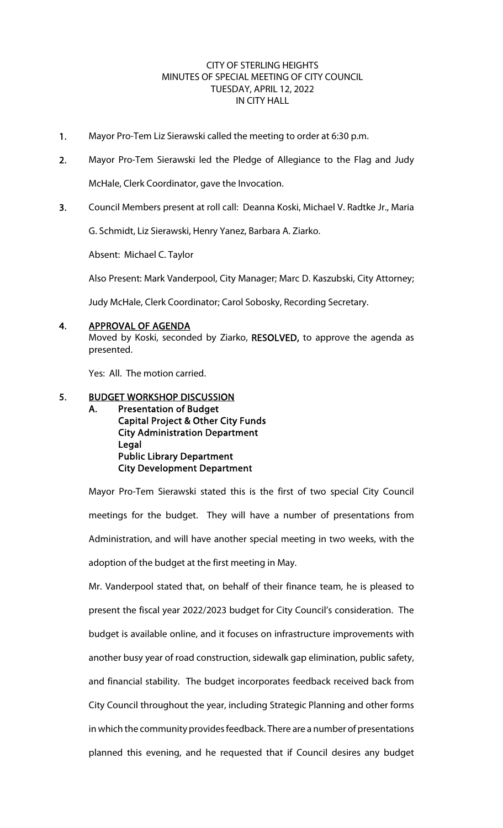## CITY OF STERLING HEIGHTS MINUTES OF SPECIAL MEETING OF CITY COUNCIL TUESDAY, APRIL 12, 2022 IN CITY HALL

- 1. Mayor Pro-Tem Liz Sierawski called the meeting to order at 6:30 p.m.
- 2. Mayor Pro-Tem Sierawski led the Pledge of Allegiance to the Flag and Judy McHale, Clerk Coordinator, gave the Invocation.
- 3. Council Members present at roll call: Deanna Koski, Michael V. Radtke Jr., Maria

G. Schmidt, Liz Sierawski, Henry Yanez, Barbara A. Ziarko.

Absent: Michael C. Taylor

Also Present: Mark Vanderpool, City Manager; Marc D. Kaszubski, City Attorney;

Judy McHale, Clerk Coordinator; Carol Sobosky, Recording Secretary.

#### 4. APPROVAL OF AGENDA

Moved by Koski, seconded by Ziarko, RESOLVED, to approve the agenda as presented.

Yes: All. The motion carried.

### 5. BUDGET WORKSHOP DISCUSSION

A. Presentation of Budget Capital Project & Other City Funds City Administration Department Legal Public Library Department City Development Department

Mayor Pro-Tem Sierawski stated this is the first of two special City Council meetings for the budget. They will have a number of presentations from Administration, and will have another special meeting in two weeks, with the adoption of the budget at the first meeting in May.

Mr. Vanderpool stated that, on behalf of their finance team, he is pleased to present the fiscal year 2022/2023 budget for City Council's consideration. The budget is available online, and it focuses on infrastructure improvements with another busy year of road construction, sidewalk gap elimination, public safety, and financial stability. The budget incorporates feedback received back from City Council throughout the year, including Strategic Planning and other forms in which the community provides feedback. There are a number of presentations planned this evening, and he requested that if Council desires any budget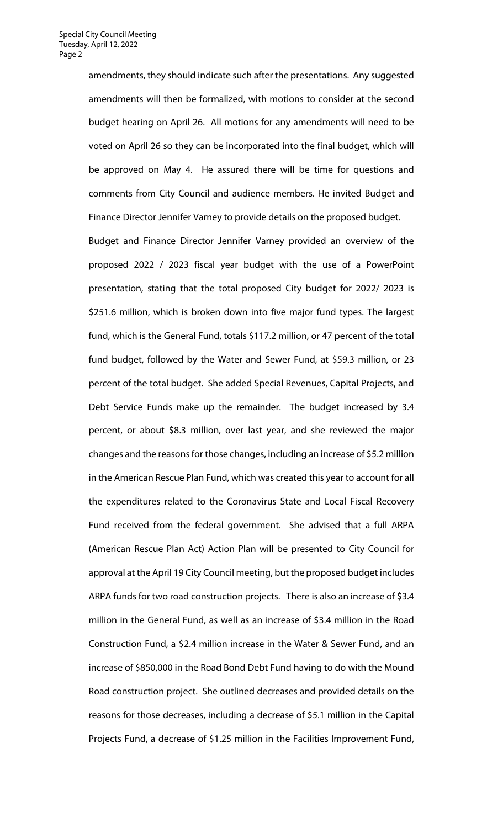amendments, they should indicate such after the presentations. Any suggested amendments will then be formalized, with motions to consider at the second budget hearing on April 26. All motions for any amendments will need to be voted on April 26 so they can be incorporated into the final budget, which will be approved on May 4. He assured there will be time for questions and comments from City Council and audience members. He invited Budget and Finance Director Jennifer Varney to provide details on the proposed budget.

Budget and Finance Director Jennifer Varney provided an overview of the proposed 2022 / 2023 fiscal year budget with the use of a PowerPoint presentation, stating that the total proposed City budget for 2022/ 2023 is \$251.6 million, which is broken down into five major fund types. The largest fund, which is the General Fund, totals \$117.2 million, or 47 percent of the total fund budget, followed by the Water and Sewer Fund, at \$59.3 million, or 23 percent of the total budget. She added Special Revenues, Capital Projects, and Debt Service Funds make up the remainder. The budget increased by 3.4 percent, or about \$8.3 million, over last year, and she reviewed the major changes and the reasons for those changes, including an increase of \$5.2 million in the American Rescue Plan Fund, which was created this year to account for all the expenditures related to the Coronavirus State and Local Fiscal Recovery Fund received from the federal government. She advised that a full ARPA (American Rescue Plan Act) Action Plan will be presented to City Council for approval at the April 19 City Council meeting, but the proposed budget includes ARPA funds for two road construction projects. There is also an increase of \$3.4 million in the General Fund, as well as an increase of \$3.4 million in the Road Construction Fund, a \$2.4 million increase in the Water & Sewer Fund, and an increase of \$850,000 in the Road Bond Debt Fund having to do with the Mound Road construction project. She outlined decreases and provided details on the reasons for those decreases, including a decrease of \$5.1 million in the Capital Projects Fund, a decrease of \$1.25 million in the Facilities Improvement Fund,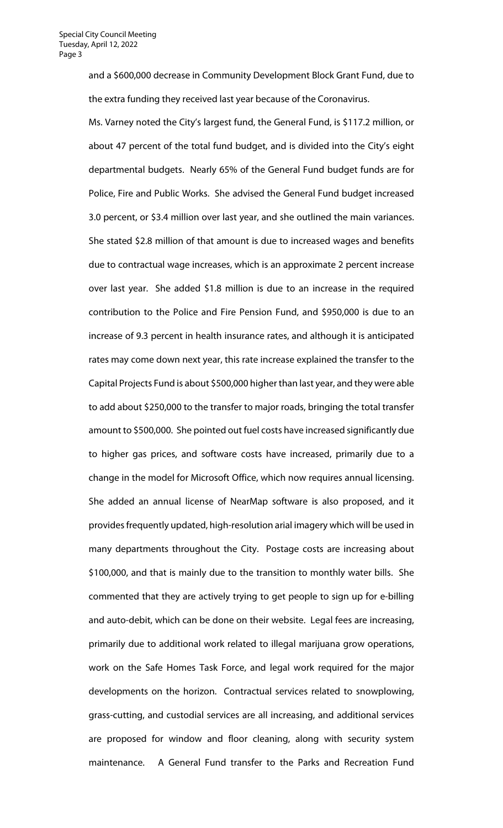and a \$600,000 decrease in Community Development Block Grant Fund, due to the extra funding they received last year because of the Coronavirus.

Ms. Varney noted the City's largest fund, the General Fund, is \$117.2 million, or about 47 percent of the total fund budget, and is divided into the City's eight departmental budgets. Nearly 65% of the General Fund budget funds are for Police, Fire and Public Works. She advised the General Fund budget increased 3.0 percent, or \$3.4 million over last year, and she outlined the main variances. She stated \$2.8 million of that amount is due to increased wages and benefits due to contractual wage increases, which is an approximate 2 percent increase over last year. She added \$1.8 million is due to an increase in the required contribution to the Police and Fire Pension Fund, and \$950,000 is due to an increase of 9.3 percent in health insurance rates, and although it is anticipated rates may come down next year, this rate increase explained the transfer to the Capital Projects Fund is about \$500,000 higher than last year, and they were able to add about \$250,000 to the transfer to major roads, bringing the total transfer amount to \$500,000. She pointed out fuel costs have increased significantly due to higher gas prices, and software costs have increased, primarily due to a change in the model for Microsoft Office, which now requires annual licensing. She added an annual license of NearMap software is also proposed, and it provides frequently updated, high-resolution arial imagery which will be used in many departments throughout the City. Postage costs are increasing about \$100,000, and that is mainly due to the transition to monthly water bills. She commented that they are actively trying to get people to sign up for e-billing and auto-debit, which can be done on their website. Legal fees are increasing, primarily due to additional work related to illegal marijuana grow operations, work on the Safe Homes Task Force, and legal work required for the major developments on the horizon. Contractual services related to snowplowing, grass-cutting, and custodial services are all increasing, and additional services are proposed for window and floor cleaning, along with security system maintenance. A General Fund transfer to the Parks and Recreation Fund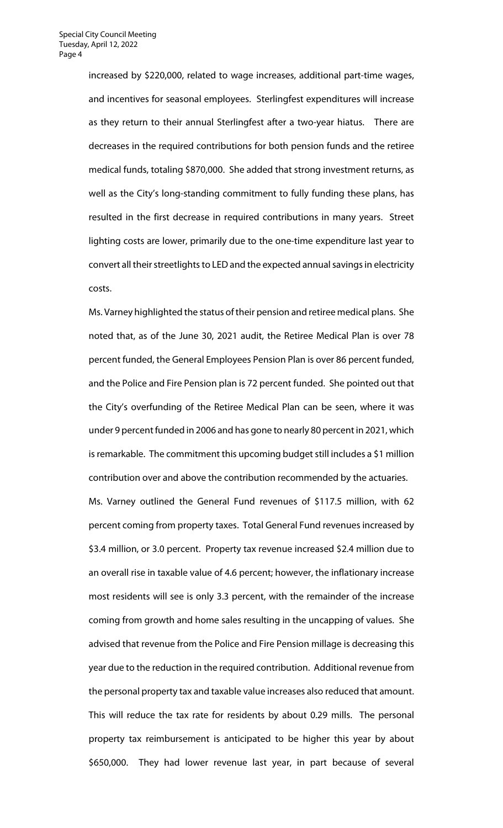increased by \$220,000, related to wage increases, additional part-time wages, and incentives for seasonal employees. Sterlingfest expenditures will increase as they return to their annual Sterlingfest after a two-year hiatus. There are decreases in the required contributions for both pension funds and the retiree medical funds, totaling \$870,000. She added that strong investment returns, as well as the City's long-standing commitment to fully funding these plans, has resulted in the first decrease in required contributions in many years. Street lighting costs are lower, primarily due to the one-time expenditure last year to convert all their streetlights to LED and the expected annual savings in electricity costs.

Ms. Varney highlighted the status of their pension and retiree medical plans. She noted that, as of the June 30, 2021 audit, the Retiree Medical Plan is over 78 percent funded, the General Employees Pension Plan is over 86 percent funded, and the Police and Fire Pension plan is 72 percent funded. She pointed out that the City's overfunding of the Retiree Medical Plan can be seen, where it was under 9 percent funded in 2006 and has gone to nearly 80 percent in 2021, which is remarkable. The commitment this upcoming budget still includes a \$1 million contribution over and above the contribution recommended by the actuaries.

Ms. Varney outlined the General Fund revenues of \$117.5 million, with 62 percent coming from property taxes. Total General Fund revenues increased by \$3.4 million, or 3.0 percent. Property tax revenue increased \$2.4 million due to an overall rise in taxable value of 4.6 percent; however, the inflationary increase most residents will see is only 3.3 percent, with the remainder of the increase coming from growth and home sales resulting in the uncapping of values. She advised that revenue from the Police and Fire Pension millage is decreasing this year due to the reduction in the required contribution. Additional revenue from the personal property tax and taxable value increases also reduced that amount. This will reduce the tax rate for residents by about 0.29 mills. The personal property tax reimbursement is anticipated to be higher this year by about \$650,000. They had lower revenue last year, in part because of several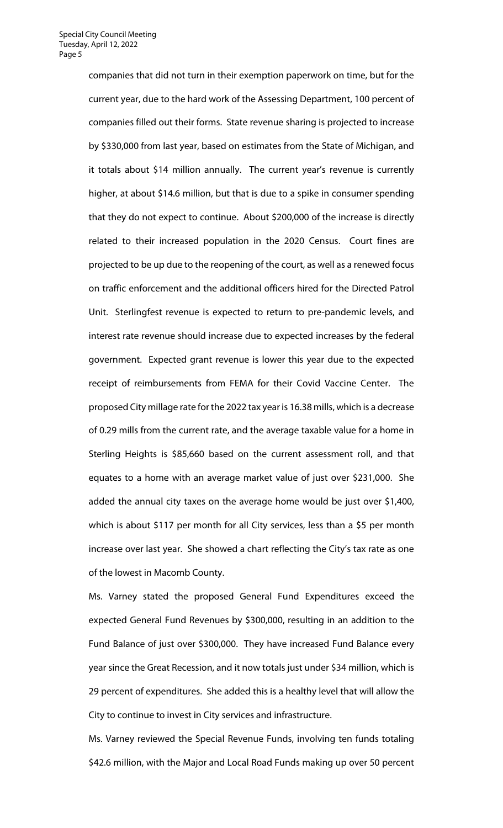companies that did not turn in their exemption paperwork on time, but for the current year, due to the hard work of the Assessing Department, 100 percent of companies filled out their forms. State revenue sharing is projected to increase by \$330,000 from last year, based on estimates from the State of Michigan, and it totals about \$14 million annually. The current year's revenue is currently higher, at about \$14.6 million, but that is due to a spike in consumer spending that they do not expect to continue. About \$200,000 of the increase is directly related to their increased population in the 2020 Census. Court fines are projected to be up due to the reopening of the court, as well as a renewed focus on traffic enforcement and the additional officers hired for the Directed Patrol Unit. Sterlingfest revenue is expected to return to pre-pandemic levels, and interest rate revenue should increase due to expected increases by the federal government. Expected grant revenue is lower this year due to the expected receipt of reimbursements from FEMA for their Covid Vaccine Center. The proposed City millage rate for the 2022 tax year is 16.38 mills, which is a decrease of 0.29 mills from the current rate, and the average taxable value for a home in Sterling Heights is \$85,660 based on the current assessment roll, and that equates to a home with an average market value of just over \$231,000. She added the annual city taxes on the average home would be just over \$1,400, which is about \$117 per month for all City services, less than a \$5 per month increase over last year. She showed a chart reflecting the City's tax rate as one of the lowest in Macomb County.

Ms. Varney stated the proposed General Fund Expenditures exceed the expected General Fund Revenues by \$300,000, resulting in an addition to the Fund Balance of just over \$300,000. They have increased Fund Balance every year since the Great Recession, and it now totals just under \$34 million, which is 29 percent of expenditures. She added this is a healthy level that will allow the City to continue to invest in City services and infrastructure.

Ms. Varney reviewed the Special Revenue Funds, involving ten funds totaling \$42.6 million, with the Major and Local Road Funds making up over 50 percent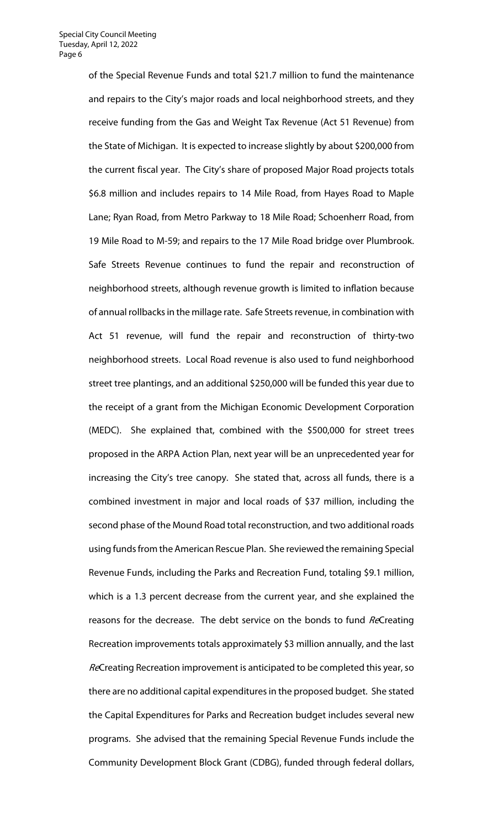of the Special Revenue Funds and total \$21.7 million to fund the maintenance and repairs to the City's major roads and local neighborhood streets, and they receive funding from the Gas and Weight Tax Revenue (Act 51 Revenue) from the State of Michigan. It is expected to increase slightly by about \$200,000 from the current fiscal year. The City's share of proposed Major Road projects totals \$6.8 million and includes repairs to 14 Mile Road, from Hayes Road to Maple Lane; Ryan Road, from Metro Parkway to 18 Mile Road; Schoenherr Road, from 19 Mile Road to M-59; and repairs to the 17 Mile Road bridge over Plumbrook. Safe Streets Revenue continues to fund the repair and reconstruction of neighborhood streets, although revenue growth is limited to inflation because of annual rollbacks in the millage rate. Safe Streets revenue, in combination with Act 51 revenue, will fund the repair and reconstruction of thirty-two neighborhood streets. Local Road revenue is also used to fund neighborhood street tree plantings, and an additional \$250,000 will be funded this year due to the receipt of a grant from the Michigan Economic Development Corporation (MEDC). She explained that, combined with the \$500,000 for street trees proposed in the ARPA Action Plan, next year will be an unprecedented year for increasing the City's tree canopy. She stated that, across all funds, there is a combined investment in major and local roads of \$37 million, including the second phase of the Mound Road total reconstruction, and two additional roads using funds from the American Rescue Plan. She reviewed the remaining Special Revenue Funds, including the Parks and Recreation Fund, totaling \$9.1 million, which is a 1.3 percent decrease from the current year, and she explained the reasons for the decrease. The debt service on the bonds to fund ReCreating Recreation improvements totals approximately \$3 million annually, and the last ReCreating Recreation improvement is anticipated to be completed this year, so there are no additional capital expenditures in the proposed budget. She stated the Capital Expenditures for Parks and Recreation budget includes several new programs. She advised that the remaining Special Revenue Funds include the Community Development Block Grant (CDBG), funded through federal dollars,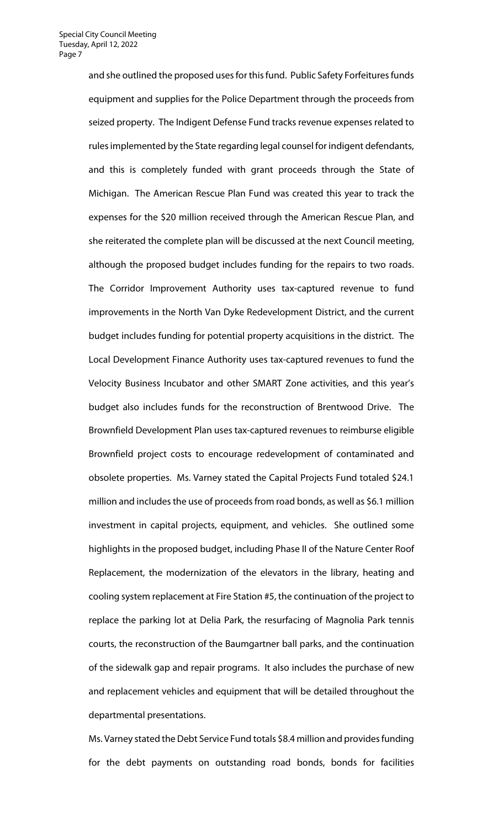and she outlined the proposed uses for this fund. Public Safety Forfeitures funds equipment and supplies for the Police Department through the proceeds from seized property. The Indigent Defense Fund tracks revenue expenses related to rules implemented by the State regarding legal counsel for indigent defendants, and this is completely funded with grant proceeds through the State of Michigan. The American Rescue Plan Fund was created this year to track the expenses for the \$20 million received through the American Rescue Plan, and she reiterated the complete plan will be discussed at the next Council meeting, although the proposed budget includes funding for the repairs to two roads. The Corridor Improvement Authority uses tax-captured revenue to fund improvements in the North Van Dyke Redevelopment District, and the current budget includes funding for potential property acquisitions in the district. The Local Development Finance Authority uses tax-captured revenues to fund the Velocity Business Incubator and other SMART Zone activities, and this year's budget also includes funds for the reconstruction of Brentwood Drive. The Brownfield Development Plan uses tax-captured revenues to reimburse eligible Brownfield project costs to encourage redevelopment of contaminated and obsolete properties. Ms. Varney stated the Capital Projects Fund totaled \$24.1 million and includes the use of proceeds from road bonds, as well as \$6.1 million investment in capital projects, equipment, and vehicles. She outlined some highlights in the proposed budget, including Phase II of the Nature Center Roof Replacement, the modernization of the elevators in the library, heating and cooling system replacement at Fire Station #5, the continuation of the project to replace the parking lot at Delia Park, the resurfacing of Magnolia Park tennis courts, the reconstruction of the Baumgartner ball parks, and the continuation of the sidewalk gap and repair programs. It also includes the purchase of new and replacement vehicles and equipment that will be detailed throughout the departmental presentations.

Ms. Varney stated the Debt Service Fund totals \$8.4 million and provides funding for the debt payments on outstanding road bonds, bonds for facilities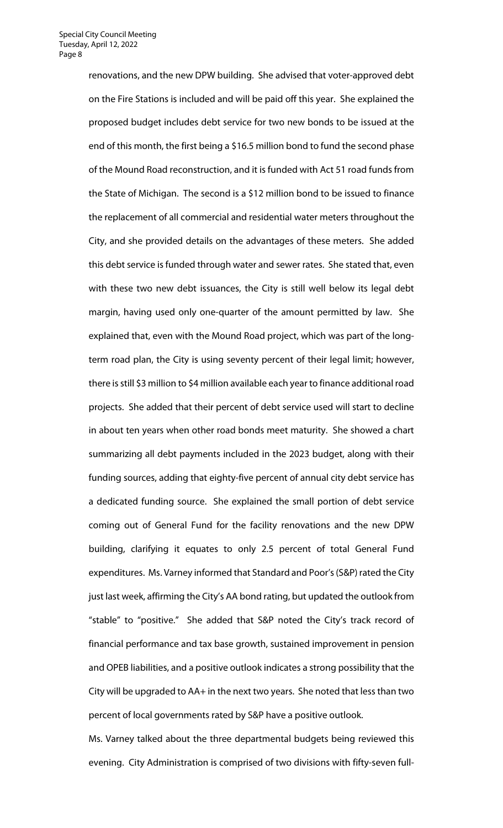renovations, and the new DPW building. She advised that voter-approved debt on the Fire Stations is included and will be paid off this year. She explained the proposed budget includes debt service for two new bonds to be issued at the end of this month, the first being a \$16.5 million bond to fund the second phase of the Mound Road reconstruction, and it is funded with Act 51 road funds from the State of Michigan. The second is a \$12 million bond to be issued to finance the replacement of all commercial and residential water meters throughout the City, and she provided details on the advantages of these meters. She added this debt service is funded through water and sewer rates. She stated that, even with these two new debt issuances, the City is still well below its legal debt margin, having used only one-quarter of the amount permitted by law. She explained that, even with the Mound Road project, which was part of the longterm road plan, the City is using seventy percent of their legal limit; however, there is still \$3 million to \$4 million available each year to finance additional road projects. She added that their percent of debt service used will start to decline in about ten years when other road bonds meet maturity. She showed a chart summarizing all debt payments included in the 2023 budget, along with their funding sources, adding that eighty-five percent of annual city debt service has a dedicated funding source. She explained the small portion of debt service coming out of General Fund for the facility renovations and the new DPW building, clarifying it equates to only 2.5 percent of total General Fund expenditures. Ms. Varney informed that Standard and Poor's (S&P) rated the City just last week, affirming the City's AA bond rating, but updated the outlook from "stable" to "positive." She added that S&P noted the City's track record of financial performance and tax base growth, sustained improvement in pension and OPEB liabilities, and a positive outlook indicates a strong possibility that the City will be upgraded to AA+ in the next two years. She noted that less than two percent of local governments rated by S&P have a positive outlook.

Ms. Varney talked about the three departmental budgets being reviewed this evening. City Administration is comprised of two divisions with fifty-seven full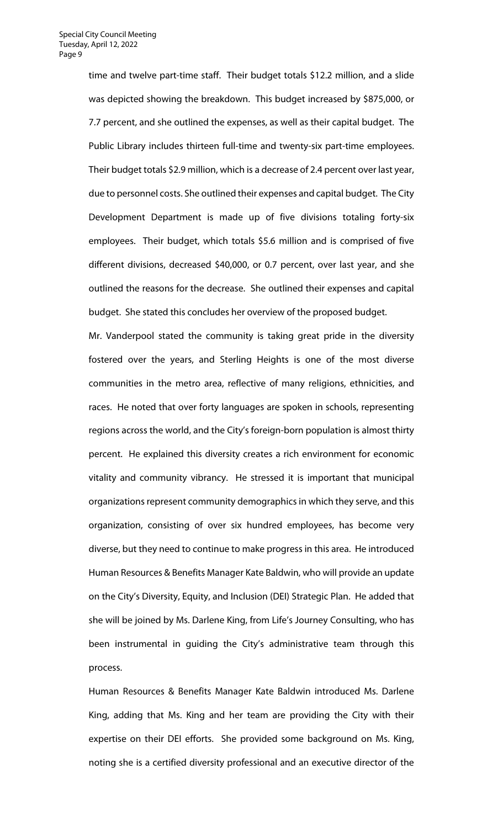time and twelve part-time staff. Their budget totals \$12.2 million, and a slide was depicted showing the breakdown. This budget increased by \$875,000, or 7.7 percent, and she outlined the expenses, as well as their capital budget. The Public Library includes thirteen full-time and twenty-six part-time employees. Their budget totals \$2.9 million, which is a decrease of 2.4 percent over last year, due to personnel costs. She outlined their expenses and capital budget. The City Development Department is made up of five divisions totaling forty-six employees. Their budget, which totals \$5.6 million and is comprised of five different divisions, decreased \$40,000, or 0.7 percent, over last year, and she outlined the reasons for the decrease. She outlined their expenses and capital budget. She stated this concludes her overview of the proposed budget.

Mr. Vanderpool stated the community is taking great pride in the diversity fostered over the years, and Sterling Heights is one of the most diverse communities in the metro area, reflective of many religions, ethnicities, and races. He noted that over forty languages are spoken in schools, representing regions across the world, and the City's foreign-born population is almost thirty percent. He explained this diversity creates a rich environment for economic vitality and community vibrancy. He stressed it is important that municipal organizations represent community demographics in which they serve, and this organization, consisting of over six hundred employees, has become very diverse, but they need to continue to make progress in this area. He introduced Human Resources & Benefits Manager Kate Baldwin, who will provide an update on the City's Diversity, Equity, and Inclusion (DEI) Strategic Plan. He added that she will be joined by Ms. Darlene King, from Life's Journey Consulting, who has been instrumental in guiding the City's administrative team through this process.

Human Resources & Benefits Manager Kate Baldwin introduced Ms. Darlene King, adding that Ms. King and her team are providing the City with their expertise on their DEI efforts. She provided some background on Ms. King, noting she is a certified diversity professional and an executive director of the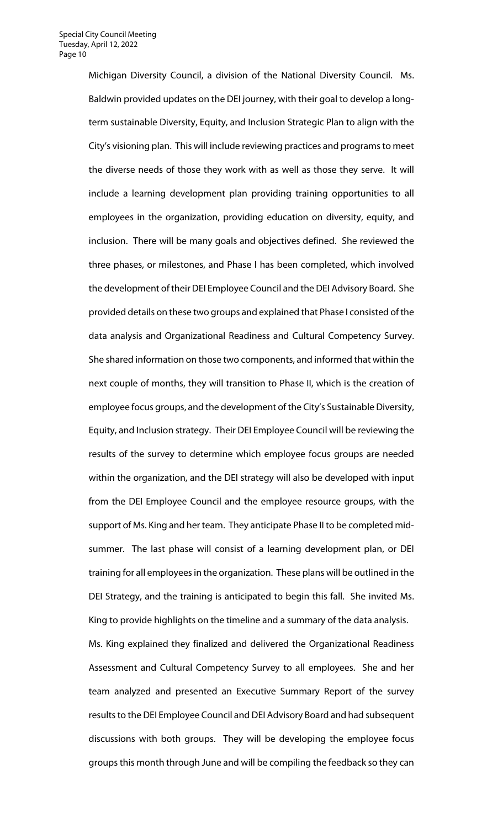Michigan Diversity Council, a division of the National Diversity Council. Ms. Baldwin provided updates on the DEI journey, with their goal to develop a longterm sustainable Diversity, Equity, and Inclusion Strategic Plan to align with the City's visioning plan. This will include reviewing practices and programs to meet the diverse needs of those they work with as well as those they serve. It will include a learning development plan providing training opportunities to all employees in the organization, providing education on diversity, equity, and inclusion. There will be many goals and objectives defined. She reviewed the three phases, or milestones, and Phase I has been completed, which involved the development of their DEI Employee Council and the DEI Advisory Board. She provided details on these two groups and explained that Phase I consisted of the data analysis and Organizational Readiness and Cultural Competency Survey. She shared information on those two components, and informed that within the next couple of months, they will transition to Phase II, which is the creation of employee focus groups, and the development of the City's Sustainable Diversity, Equity, and Inclusion strategy. Their DEI Employee Council will be reviewing the results of the survey to determine which employee focus groups are needed within the organization, and the DEI strategy will also be developed with input from the DEI Employee Council and the employee resource groups, with the support of Ms. King and her team. They anticipate Phase II to be completed midsummer. The last phase will consist of a learning development plan, or DEI training for all employees in the organization. These plans will be outlined in the DEI Strategy, and the training is anticipated to begin this fall. She invited Ms. King to provide highlights on the timeline and a summary of the data analysis. Ms. King explained they finalized and delivered the Organizational Readiness Assessment and Cultural Competency Survey to all employees. She and her team analyzed and presented an Executive Summary Report of the survey results to the DEI Employee Council and DEI Advisory Board and had subsequent discussions with both groups. They will be developing the employee focus groups this month through June and will be compiling the feedback so they can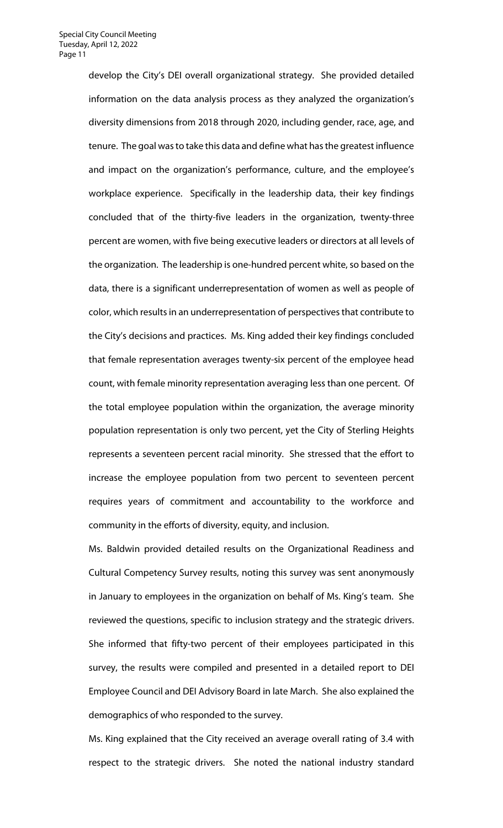develop the City's DEI overall organizational strategy. She provided detailed information on the data analysis process as they analyzed the organization's diversity dimensions from 2018 through 2020, including gender, race, age, and tenure. The goal was to take this data and define what has the greatest influence and impact on the organization's performance, culture, and the employee's workplace experience. Specifically in the leadership data, their key findings concluded that of the thirty-five leaders in the organization, twenty-three percent are women, with five being executive leaders or directors at all levels of the organization. The leadership is one-hundred percent white, so based on the data, there is a significant underrepresentation of women as well as people of color, which results in an underrepresentation of perspectives that contribute to the City's decisions and practices. Ms. King added their key findings concluded that female representation averages twenty-six percent of the employee head count, with female minority representation averaging less than one percent. Of the total employee population within the organization, the average minority population representation is only two percent, yet the City of Sterling Heights represents a seventeen percent racial minority. She stressed that the effort to increase the employee population from two percent to seventeen percent requires years of commitment and accountability to the workforce and community in the efforts of diversity, equity, and inclusion.

Ms. Baldwin provided detailed results on the Organizational Readiness and Cultural Competency Survey results, noting this survey was sent anonymously in January to employees in the organization on behalf of Ms. King's team. She reviewed the questions, specific to inclusion strategy and the strategic drivers. She informed that fifty-two percent of their employees participated in this survey, the results were compiled and presented in a detailed report to DEI Employee Council and DEI Advisory Board in late March. She also explained the demographics of who responded to the survey.

Ms. King explained that the City received an average overall rating of 3.4 with respect to the strategic drivers. She noted the national industry standard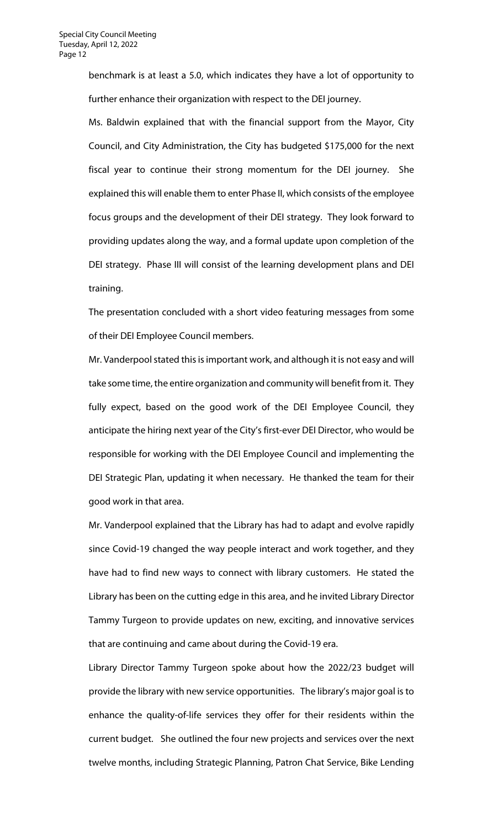benchmark is at least a 5.0, which indicates they have a lot of opportunity to further enhance their organization with respect to the DEI journey.

Ms. Baldwin explained that with the financial support from the Mayor, City Council, and City Administration, the City has budgeted \$175,000 for the next fiscal year to continue their strong momentum for the DEI journey. She explained this will enable them to enter Phase II, which consists of the employee focus groups and the development of their DEI strategy. They look forward to providing updates along the way, and a formal update upon completion of the DEI strategy. Phase III will consist of the learning development plans and DEI training.

The presentation concluded with a short video featuring messages from some of their DEI Employee Council members.

Mr. Vanderpool stated this is important work, and although it is not easy and will take some time, the entire organization and community will benefit from it. They fully expect, based on the good work of the DEI Employee Council, they anticipate the hiring next year of the City's first-ever DEI Director, who would be responsible for working with the DEI Employee Council and implementing the DEI Strategic Plan, updating it when necessary. He thanked the team for their good work in that area.

Mr. Vanderpool explained that the Library has had to adapt and evolve rapidly since Covid-19 changed the way people interact and work together, and they have had to find new ways to connect with library customers. He stated the Library has been on the cutting edge in this area, and he invited Library Director Tammy Turgeon to provide updates on new, exciting, and innovative services that are continuing and came about during the Covid-19 era.

Library Director Tammy Turgeon spoke about how the 2022/23 budget will provide the library with new service opportunities. The library's major goal is to enhance the quality-of-life services they offer for their residents within the current budget. She outlined the four new projects and services over the next twelve months, including Strategic Planning, Patron Chat Service, Bike Lending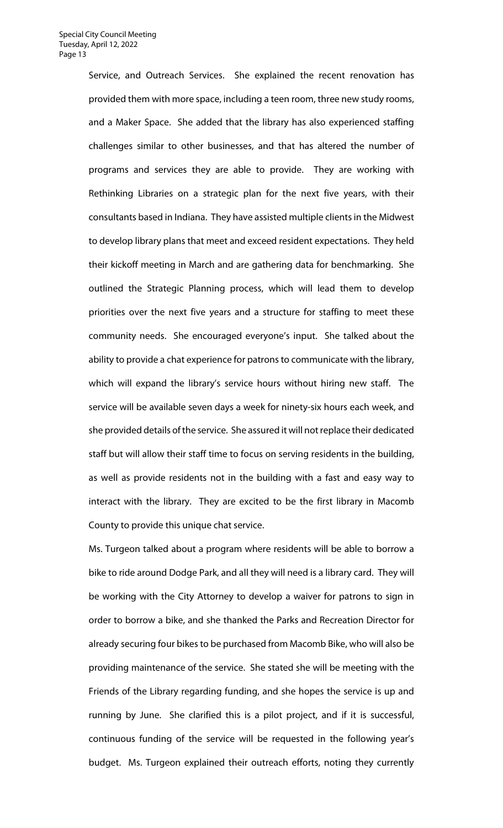Service, and Outreach Services. She explained the recent renovation has provided them with more space, including a teen room, three new study rooms, and a Maker Space. She added that the library has also experienced staffing challenges similar to other businesses, and that has altered the number of programs and services they are able to provide. They are working with Rethinking Libraries on a strategic plan for the next five years, with their consultants based in Indiana. They have assisted multiple clients in the Midwest to develop library plans that meet and exceed resident expectations. They held their kickoff meeting in March and are gathering data for benchmarking. She outlined the Strategic Planning process, which will lead them to develop priorities over the next five years and a structure for staffing to meet these community needs. She encouraged everyone's input. She talked about the ability to provide a chat experience for patrons to communicate with the library, which will expand the library's service hours without hiring new staff. The service will be available seven days a week for ninety-six hours each week, and she provided details of the service. She assured it will not replace their dedicated staff but will allow their staff time to focus on serving residents in the building, as well as provide residents not in the building with a fast and easy way to interact with the library. They are excited to be the first library in Macomb County to provide this unique chat service.

Ms. Turgeon talked about a program where residents will be able to borrow a bike to ride around Dodge Park, and all they will need is a library card. They will be working with the City Attorney to develop a waiver for patrons to sign in order to borrow a bike, and she thanked the Parks and Recreation Director for already securing four bikes to be purchased from Macomb Bike, who will also be providing maintenance of the service. She stated she will be meeting with the Friends of the Library regarding funding, and she hopes the service is up and running by June. She clarified this is a pilot project, and if it is successful, continuous funding of the service will be requested in the following year's budget. Ms. Turgeon explained their outreach efforts, noting they currently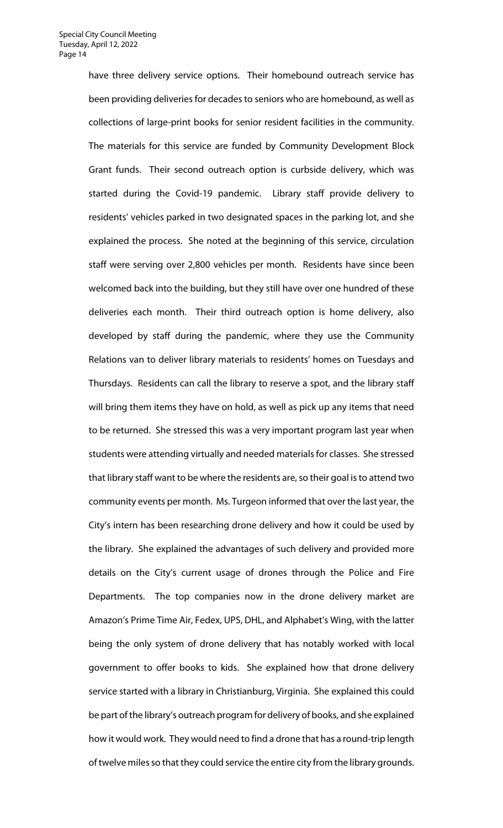have three delivery service options. Their homebound outreach service has been providing deliveries for decades to seniors who are homebound, as well as collections of large-print books for senior resident facilities in the community. The materials for this service are funded by Community Development Block Grant funds. Their second outreach option is curbside delivery, which was started during the Covid-19 pandemic. Library staff provide delivery to residents' vehicles parked in two designated spaces in the parking lot, and she explained the process. She noted at the beginning of this service, circulation staff were serving over 2,800 vehicles per month. Residents have since been welcomed back into the building, but they still have over one hundred of these deliveries each month. Their third outreach option is home delivery, also developed by staff during the pandemic, where they use the Community Relations van to deliver library materials to residents' homes on Tuesdays and Thursdays. Residents can call the library to reserve a spot, and the library staff will bring them items they have on hold, as well as pick up any items that need to be returned. She stressed this was a very important program last year when students were attending virtually and needed materials for classes. She stressed that library staff want to be where the residents are, so their goal is to attend two community events per month. Ms. Turgeon informed that over the last year, the City's intern has been researching drone delivery and how it could be used by the library. She explained the advantages of such delivery and provided more details on the City's current usage of drones through the Police and Fire Departments. The top companies now in the drone delivery market are Amazon's Prime Time Air, Fedex, UPS, DHL, and Alphabet's Wing, with the latter being the only system of drone delivery that has notably worked with local government to offer books to kids. She explained how that drone delivery service started with a library in Christianburg, Virginia. She explained this could be part of the library's outreach program for delivery of books, and she explained how it would work. They would need to find a drone that has a round-trip length of twelve miles so that they could service the entire city from the library grounds.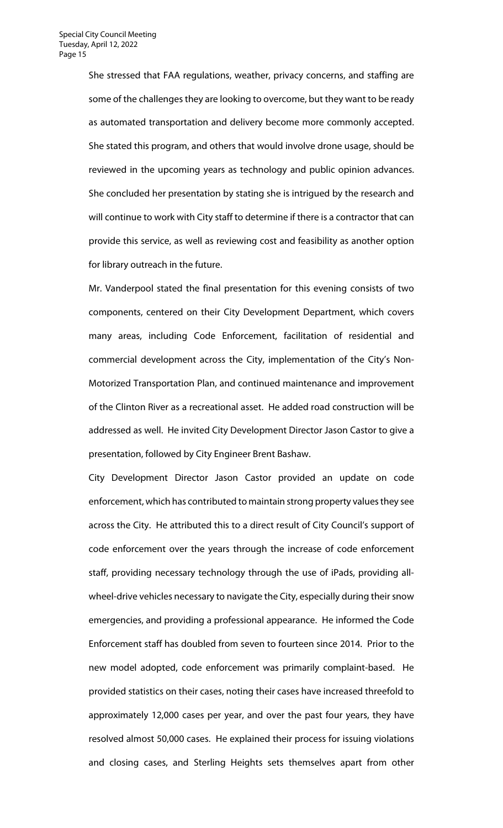She stressed that FAA regulations, weather, privacy concerns, and staffing are some of the challenges they are looking to overcome, but they want to be ready as automated transportation and delivery become more commonly accepted. She stated this program, and others that would involve drone usage, should be reviewed in the upcoming years as technology and public opinion advances. She concluded her presentation by stating she is intrigued by the research and will continue to work with City staff to determine if there is a contractor that can provide this service, as well as reviewing cost and feasibility as another option for library outreach in the future.

Mr. Vanderpool stated the final presentation for this evening consists of two components, centered on their City Development Department, which covers many areas, including Code Enforcement, facilitation of residential and commercial development across the City, implementation of the City's Non-Motorized Transportation Plan, and continued maintenance and improvement of the Clinton River as a recreational asset. He added road construction will be addressed as well. He invited City Development Director Jason Castor to give a presentation, followed by City Engineer Brent Bashaw.

City Development Director Jason Castor provided an update on code enforcement, which has contributed to maintain strong property values they see across the City. He attributed this to a direct result of City Council's support of code enforcement over the years through the increase of code enforcement staff, providing necessary technology through the use of iPads, providing allwheel-drive vehicles necessary to navigate the City, especially during their snow emergencies, and providing a professional appearance. He informed the Code Enforcement staff has doubled from seven to fourteen since 2014. Prior to the new model adopted, code enforcement was primarily complaint-based. He provided statistics on their cases, noting their cases have increased threefold to approximately 12,000 cases per year, and over the past four years, they have resolved almost 50,000 cases. He explained their process for issuing violations and closing cases, and Sterling Heights sets themselves apart from other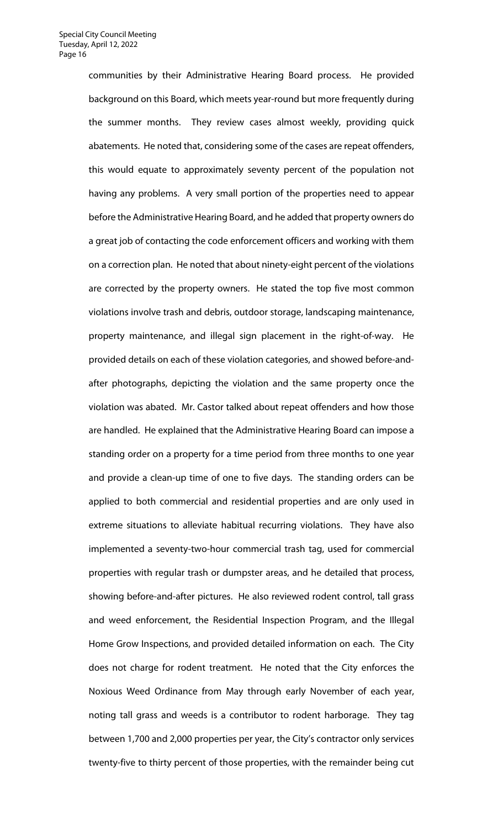communities by their Administrative Hearing Board process. He provided background on this Board, which meets year-round but more frequently during the summer months. They review cases almost weekly, providing quick abatements. He noted that, considering some of the cases are repeat offenders, this would equate to approximately seventy percent of the population not having any problems. A very small portion of the properties need to appear before the Administrative Hearing Board, and he added that property owners do a great job of contacting the code enforcement officers and working with them on a correction plan. He noted that about ninety-eight percent of the violations are corrected by the property owners. He stated the top five most common violations involve trash and debris, outdoor storage, landscaping maintenance, property maintenance, and illegal sign placement in the right-of-way. He provided details on each of these violation categories, and showed before-andafter photographs, depicting the violation and the same property once the violation was abated. Mr. Castor talked about repeat offenders and how those are handled. He explained that the Administrative Hearing Board can impose a standing order on a property for a time period from three months to one year and provide a clean-up time of one to five days. The standing orders can be applied to both commercial and residential properties and are only used in extreme situations to alleviate habitual recurring violations. They have also implemented a seventy-two-hour commercial trash tag, used for commercial properties with regular trash or dumpster areas, and he detailed that process, showing before-and-after pictures. He also reviewed rodent control, tall grass and weed enforcement, the Residential Inspection Program, and the Illegal Home Grow Inspections, and provided detailed information on each. The City does not charge for rodent treatment. He noted that the City enforces the Noxious Weed Ordinance from May through early November of each year, noting tall grass and weeds is a contributor to rodent harborage. They tag between 1,700 and 2,000 properties per year, the City's contractor only services twenty-five to thirty percent of those properties, with the remainder being cut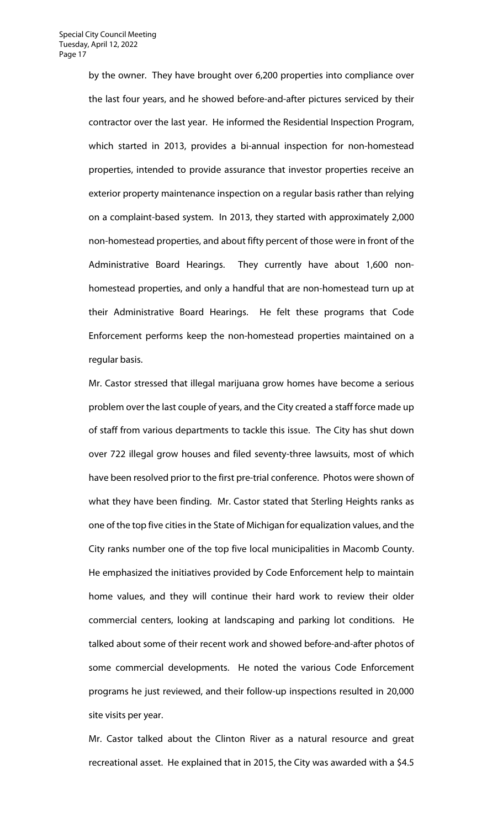by the owner. They have brought over 6,200 properties into compliance over the last four years, and he showed before-and-after pictures serviced by their contractor over the last year. He informed the Residential Inspection Program, which started in 2013, provides a bi-annual inspection for non-homestead properties, intended to provide assurance that investor properties receive an exterior property maintenance inspection on a regular basis rather than relying on a complaint-based system. In 2013, they started with approximately 2,000 non-homestead properties, and about fifty percent of those were in front of the Administrative Board Hearings. They currently have about 1,600 nonhomestead properties, and only a handful that are non-homestead turn up at their Administrative Board Hearings. He felt these programs that Code Enforcement performs keep the non-homestead properties maintained on a regular basis.

Mr. Castor stressed that illegal marijuana grow homes have become a serious problem over the last couple of years, and the City created a staff force made up of staff from various departments to tackle this issue. The City has shut down over 722 illegal grow houses and filed seventy-three lawsuits, most of which have been resolved prior to the first pre-trial conference. Photos were shown of what they have been finding. Mr. Castor stated that Sterling Heights ranks as one of the top five cities in the State of Michigan for equalization values, and the City ranks number one of the top five local municipalities in Macomb County. He emphasized the initiatives provided by Code Enforcement help to maintain home values, and they will continue their hard work to review their older commercial centers, looking at landscaping and parking lot conditions. He talked about some of their recent work and showed before-and-after photos of some commercial developments. He noted the various Code Enforcement programs he just reviewed, and their follow-up inspections resulted in 20,000 site visits per year.

Mr. Castor talked about the Clinton River as a natural resource and great recreational asset. He explained that in 2015, the City was awarded with a \$4.5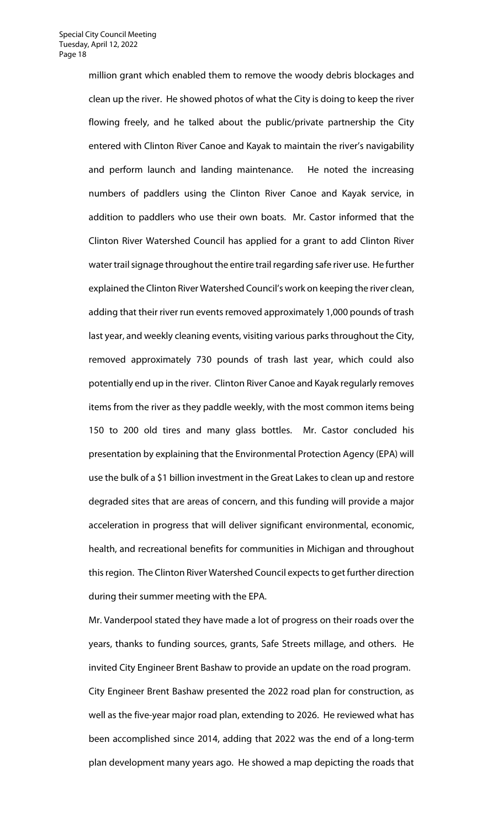million grant which enabled them to remove the woody debris blockages and clean up the river. He showed photos of what the City is doing to keep the river flowing freely, and he talked about the public/private partnership the City entered with Clinton River Canoe and Kayak to maintain the river's navigability and perform launch and landing maintenance. He noted the increasing numbers of paddlers using the Clinton River Canoe and Kayak service, in addition to paddlers who use their own boats. Mr. Castor informed that the Clinton River Watershed Council has applied for a grant to add Clinton River water trail signage throughout the entire trail regarding safe river use. He further explained the Clinton River Watershed Council's work on keeping the river clean, adding that their river run events removed approximately 1,000 pounds of trash last year, and weekly cleaning events, visiting various parks throughout the City, removed approximately 730 pounds of trash last year, which could also potentially end up in the river. Clinton River Canoe and Kayak regularly removes items from the river as they paddle weekly, with the most common items being 150 to 200 old tires and many glass bottles. Mr. Castor concluded his presentation by explaining that the Environmental Protection Agency (EPA) will use the bulk of a \$1 billion investment in the Great Lakes to clean up and restore degraded sites that are areas of concern, and this funding will provide a major acceleration in progress that will deliver significant environmental, economic, health, and recreational benefits for communities in Michigan and throughout this region. The Clinton River Watershed Council expects to get further direction during their summer meeting with the EPA.

Mr. Vanderpool stated they have made a lot of progress on their roads over the years, thanks to funding sources, grants, Safe Streets millage, and others. He invited City Engineer Brent Bashaw to provide an update on the road program. City Engineer Brent Bashaw presented the 2022 road plan for construction, as well as the five-year major road plan, extending to 2026. He reviewed what has been accomplished since 2014, adding that 2022 was the end of a long-term plan development many years ago. He showed a map depicting the roads that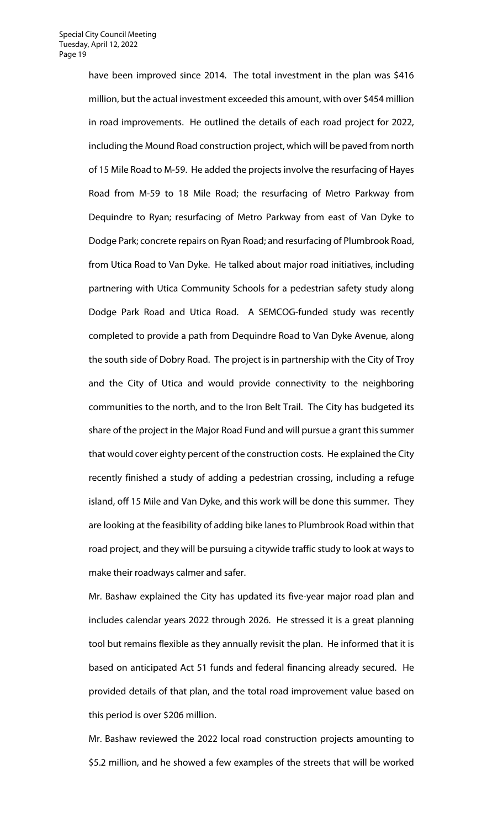have been improved since 2014. The total investment in the plan was \$416 million, but the actual investment exceeded this amount, with over \$454 million in road improvements. He outlined the details of each road project for 2022, including the Mound Road construction project, which will be paved from north of 15 Mile Road to M-59. He added the projects involve the resurfacing of Hayes Road from M-59 to 18 Mile Road; the resurfacing of Metro Parkway from Dequindre to Ryan; resurfacing of Metro Parkway from east of Van Dyke to Dodge Park; concrete repairs on Ryan Road; and resurfacing of Plumbrook Road, from Utica Road to Van Dyke. He talked about major road initiatives, including partnering with Utica Community Schools for a pedestrian safety study along Dodge Park Road and Utica Road. A SEMCOG-funded study was recently completed to provide a path from Dequindre Road to Van Dyke Avenue, along the south side of Dobry Road. The project is in partnership with the City of Troy and the City of Utica and would provide connectivity to the neighboring communities to the north, and to the Iron Belt Trail. The City has budgeted its share of the project in the Major Road Fund and will pursue a grant this summer that would cover eighty percent of the construction costs. He explained the City recently finished a study of adding a pedestrian crossing, including a refuge island, off 15 Mile and Van Dyke, and this work will be done this summer. They are looking at the feasibility of adding bike lanes to Plumbrook Road within that road project, and they will be pursuing a citywide traffic study to look at ways to make their roadways calmer and safer.

Mr. Bashaw explained the City has updated its five-year major road plan and includes calendar years 2022 through 2026. He stressed it is a great planning tool but remains flexible as they annually revisit the plan. He informed that it is based on anticipated Act 51 funds and federal financing already secured. He provided details of that plan, and the total road improvement value based on this period is over \$206 million.

Mr. Bashaw reviewed the 2022 local road construction projects amounting to \$5.2 million, and he showed a few examples of the streets that will be worked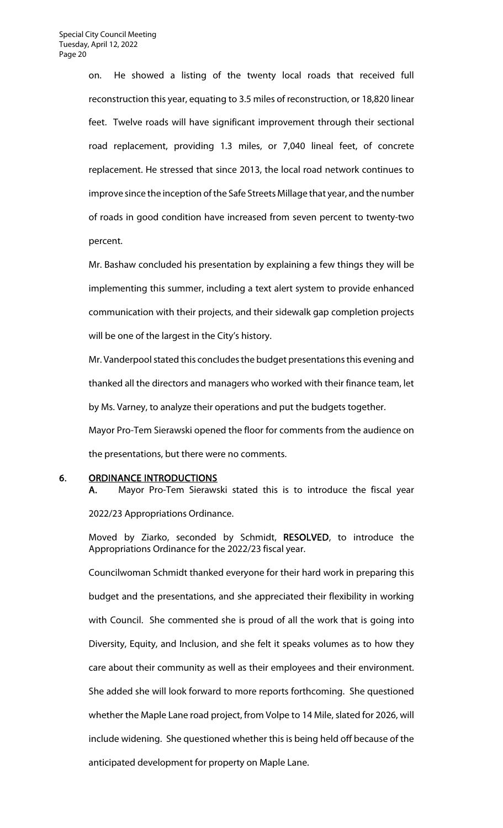on. He showed a listing of the twenty local roads that received full reconstruction this year, equating to 3.5 miles of reconstruction, or 18,820 linear feet. Twelve roads will have significant improvement through their sectional road replacement, providing 1.3 miles, or 7,040 lineal feet, of concrete replacement. He stressed that since 2013, the local road network continues to improve since the inception of the Safe Streets Millage that year, and the number of roads in good condition have increased from seven percent to twenty-two percent.

Mr. Bashaw concluded his presentation by explaining a few things they will be implementing this summer, including a text alert system to provide enhanced communication with their projects, and their sidewalk gap completion projects will be one of the largest in the City's history.

Mr. Vanderpool stated this concludes the budget presentations this evening and thanked all the directors and managers who worked with their finance team, let by Ms. Varney, to analyze their operations and put the budgets together.

Mayor Pro-Tem Sierawski opened the floor for comments from the audience on the presentations, but there were no comments.

6. ORDINANCE INTRODUCTIONS

A. Mayor Pro-Tem Sierawski stated this is to introduce the fiscal year

2022/23 Appropriations Ordinance.

Moved by Ziarko, seconded by Schmidt, RESOLVED, to introduce the Appropriations Ordinance for the 2022/23 fiscal year.

Councilwoman Schmidt thanked everyone for their hard work in preparing this budget and the presentations, and she appreciated their flexibility in working with Council. She commented she is proud of all the work that is going into Diversity, Equity, and Inclusion, and she felt it speaks volumes as to how they care about their community as well as their employees and their environment. She added she will look forward to more reports forthcoming. She questioned whether the Maple Lane road project, from Volpe to 14 Mile, slated for 2026, will include widening. She questioned whether this is being held off because of the anticipated development for property on Maple Lane.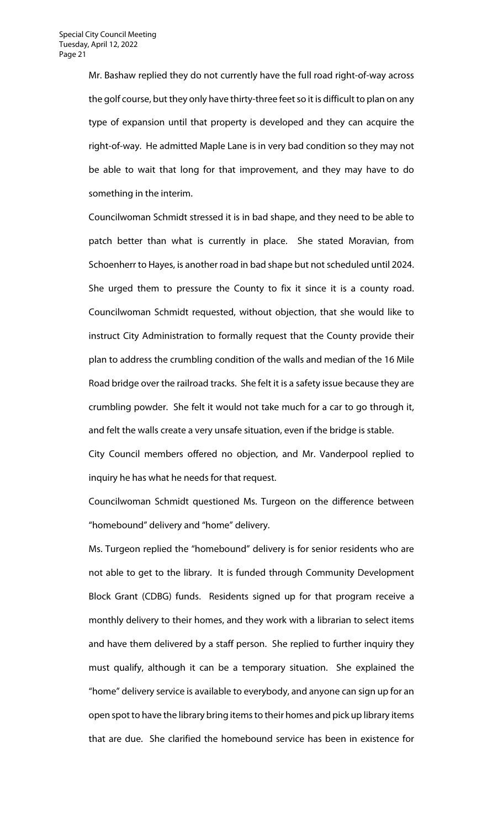Mr. Bashaw replied they do not currently have the full road right-of-way across the golf course, but they only have thirty-three feet so it is difficult to plan on any type of expansion until that property is developed and they can acquire the right-of-way. He admitted Maple Lane is in very bad condition so they may not be able to wait that long for that improvement, and they may have to do something in the interim.

Councilwoman Schmidt stressed it is in bad shape, and they need to be able to patch better than what is currently in place. She stated Moravian, from Schoenherr to Hayes, is another road in bad shape but not scheduled until 2024. She urged them to pressure the County to fix it since it is a county road. Councilwoman Schmidt requested, without objection, that she would like to instruct City Administration to formally request that the County provide their plan to address the crumbling condition of the walls and median of the 16 Mile Road bridge over the railroad tracks. She felt it is a safety issue because they are crumbling powder. She felt it would not take much for a car to go through it, and felt the walls create a very unsafe situation, even if the bridge is stable.

City Council members offered no objection, and Mr. Vanderpool replied to inquiry he has what he needs for that request.

Councilwoman Schmidt questioned Ms. Turgeon on the difference between "homebound" delivery and "home" delivery.

Ms. Turgeon replied the "homebound" delivery is for senior residents who are not able to get to the library. It is funded through Community Development Block Grant (CDBG) funds. Residents signed up for that program receive a monthly delivery to their homes, and they work with a librarian to select items and have them delivered by a staff person. She replied to further inquiry they must qualify, although it can be a temporary situation. She explained the "home" delivery service is available to everybody, and anyone can sign up for an open spot to have the library bring items to their homes and pick up library items that are due. She clarified the homebound service has been in existence for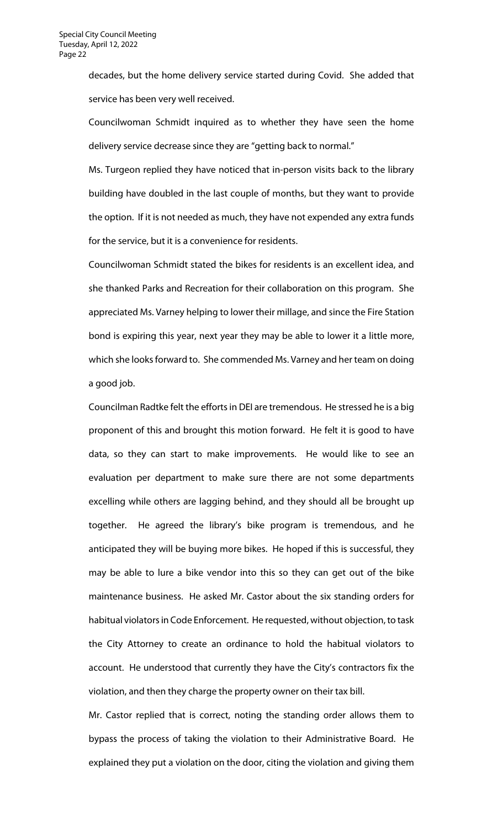decades, but the home delivery service started during Covid. She added that service has been very well received.

Councilwoman Schmidt inquired as to whether they have seen the home delivery service decrease since they are "getting back to normal."

Ms. Turgeon replied they have noticed that in-person visits back to the library building have doubled in the last couple of months, but they want to provide the option. If it is not needed as much, they have not expended any extra funds for the service, but it is a convenience for residents.

Councilwoman Schmidt stated the bikes for residents is an excellent idea, and she thanked Parks and Recreation for their collaboration on this program. She appreciated Ms. Varney helping to lower their millage, and since the Fire Station bond is expiring this year, next year they may be able to lower it a little more, which she looks forward to. She commended Ms. Varney and her team on doing a good job.

Councilman Radtke felt the efforts in DEI are tremendous. He stressed he is a big proponent of this and brought this motion forward. He felt it is good to have data, so they can start to make improvements. He would like to see an evaluation per department to make sure there are not some departments excelling while others are lagging behind, and they should all be brought up together. He agreed the library's bike program is tremendous, and he anticipated they will be buying more bikes. He hoped if this is successful, they may be able to lure a bike vendor into this so they can get out of the bike maintenance business. He asked Mr. Castor about the six standing orders for habitual violators in Code Enforcement. He requested, without objection, to task the City Attorney to create an ordinance to hold the habitual violators to account. He understood that currently they have the City's contractors fix the violation, and then they charge the property owner on their tax bill.

Mr. Castor replied that is correct, noting the standing order allows them to bypass the process of taking the violation to their Administrative Board. He explained they put a violation on the door, citing the violation and giving them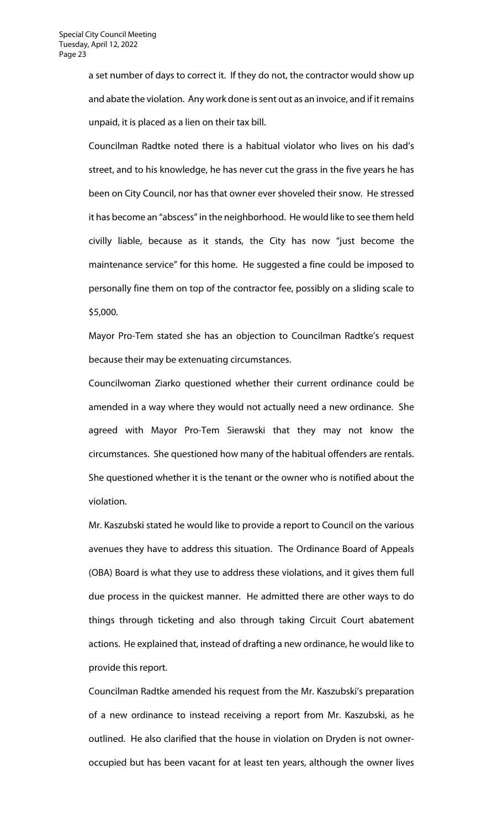a set number of days to correct it. If they do not, the contractor would show up and abate the violation. Any work done is sent out as an invoice, and if it remains unpaid, it is placed as a lien on their tax bill.

Councilman Radtke noted there is a habitual violator who lives on his dad's street, and to his knowledge, he has never cut the grass in the five years he has been on City Council, nor has that owner ever shoveled their snow. He stressed it has become an "abscess" in the neighborhood. He would like to see them held civilly liable, because as it stands, the City has now "just become the maintenance service" for this home. He suggested a fine could be imposed to personally fine them on top of the contractor fee, possibly on a sliding scale to \$5,000.

Mayor Pro-Tem stated she has an objection to Councilman Radtke's request because their may be extenuating circumstances.

Councilwoman Ziarko questioned whether their current ordinance could be amended in a way where they would not actually need a new ordinance. She agreed with Mayor Pro-Tem Sierawski that they may not know the circumstances. She questioned how many of the habitual offenders are rentals. She questioned whether it is the tenant or the owner who is notified about the violation.

Mr. Kaszubski stated he would like to provide a report to Council on the various avenues they have to address this situation. The Ordinance Board of Appeals (OBA) Board is what they use to address these violations, and it gives them full due process in the quickest manner. He admitted there are other ways to do things through ticketing and also through taking Circuit Court abatement actions. He explained that, instead of drafting a new ordinance, he would like to provide this report.

Councilman Radtke amended his request from the Mr. Kaszubski's preparation of a new ordinance to instead receiving a report from Mr. Kaszubski, as he outlined. He also clarified that the house in violation on Dryden is not owneroccupied but has been vacant for at least ten years, although the owner lives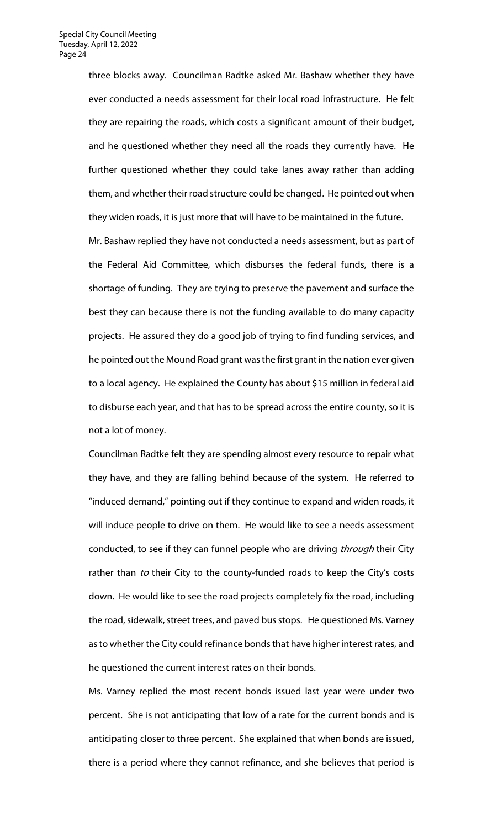three blocks away. Councilman Radtke asked Mr. Bashaw whether they have ever conducted a needs assessment for their local road infrastructure. He felt they are repairing the roads, which costs a significant amount of their budget, and he questioned whether they need all the roads they currently have. He further questioned whether they could take lanes away rather than adding them, and whether their road structure could be changed. He pointed out when they widen roads, it is just more that will have to be maintained in the future.

Mr. Bashaw replied they have not conducted a needs assessment, but as part of the Federal Aid Committee, which disburses the federal funds, there is a shortage of funding. They are trying to preserve the pavement and surface the best they can because there is not the funding available to do many capacity projects. He assured they do a good job of trying to find funding services, and he pointed out the Mound Road grant was the first grant in the nation ever given to a local agency. He explained the County has about \$15 million in federal aid to disburse each year, and that has to be spread across the entire county, so it is not a lot of money.

Councilman Radtke felt they are spending almost every resource to repair what they have, and they are falling behind because of the system. He referred to "induced demand," pointing out if they continue to expand and widen roads, it will induce people to drive on them. He would like to see a needs assessment conducted, to see if they can funnel people who are driving *through* their City rather than to their City to the county-funded roads to keep the City's costs down. He would like to see the road projects completely fix the road, including the road, sidewalk, street trees, and paved bus stops. He questioned Ms. Varney as to whether the City could refinance bonds that have higher interest rates, and he questioned the current interest rates on their bonds.

Ms. Varney replied the most recent bonds issued last year were under two percent. She is not anticipating that low of a rate for the current bonds and is anticipating closer to three percent. She explained that when bonds are issued, there is a period where they cannot refinance, and she believes that period is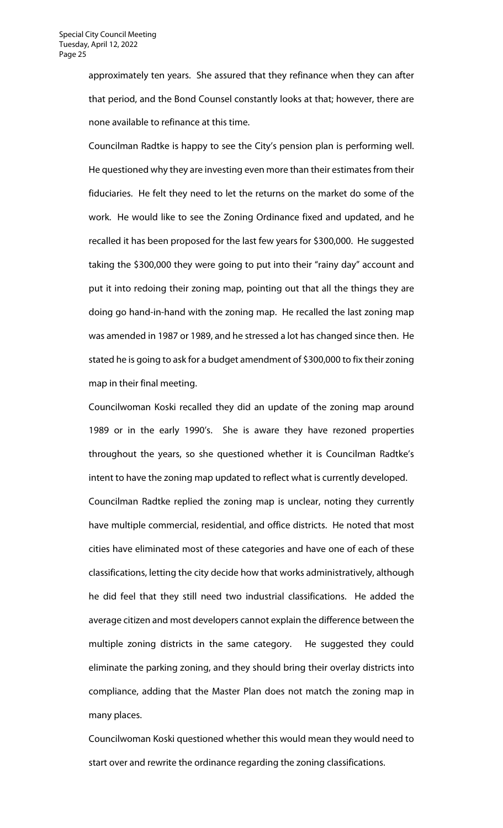approximately ten years. She assured that they refinance when they can after that period, and the Bond Counsel constantly looks at that; however, there are none available to refinance at this time.

Councilman Radtke is happy to see the City's pension plan is performing well. He questioned why they are investing even more than their estimates from their fiduciaries. He felt they need to let the returns on the market do some of the work. He would like to see the Zoning Ordinance fixed and updated, and he recalled it has been proposed for the last few years for \$300,000. He suggested taking the \$300,000 they were going to put into their "rainy day" account and put it into redoing their zoning map, pointing out that all the things they are doing go hand-in-hand with the zoning map. He recalled the last zoning map was amended in 1987 or 1989, and he stressed a lot has changed since then. He stated he is going to ask for a budget amendment of \$300,000 to fix their zoning map in their final meeting.

Councilwoman Koski recalled they did an update of the zoning map around 1989 or in the early 1990's. She is aware they have rezoned properties throughout the years, so she questioned whether it is Councilman Radtke's intent to have the zoning map updated to reflect what is currently developed. Councilman Radtke replied the zoning map is unclear, noting they currently have multiple commercial, residential, and office districts. He noted that most cities have eliminated most of these categories and have one of each of these classifications, letting the city decide how that works administratively, although he did feel that they still need two industrial classifications. He added the average citizen and most developers cannot explain the difference between the multiple zoning districts in the same category. He suggested they could eliminate the parking zoning, and they should bring their overlay districts into compliance, adding that the Master Plan does not match the zoning map in many places.

Councilwoman Koski questioned whether this would mean they would need to start over and rewrite the ordinance regarding the zoning classifications.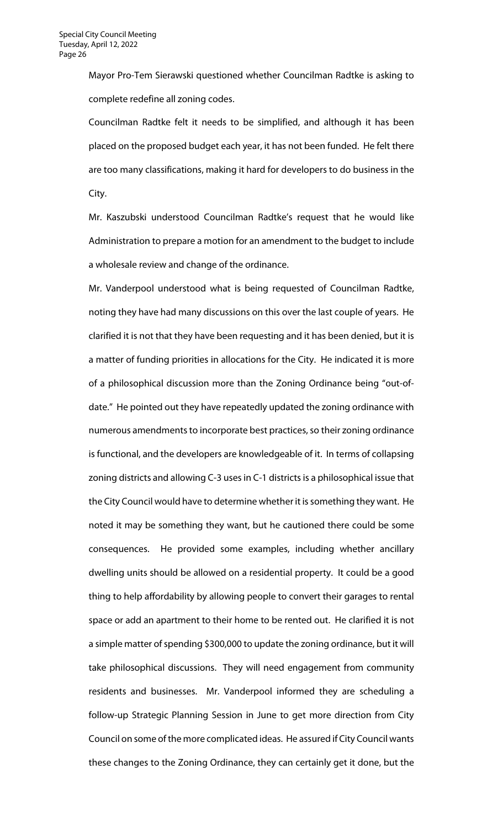Mayor Pro-Tem Sierawski questioned whether Councilman Radtke is asking to complete redefine all zoning codes.

Councilman Radtke felt it needs to be simplified, and although it has been placed on the proposed budget each year, it has not been funded. He felt there are too many classifications, making it hard for developers to do business in the City.

Mr. Kaszubski understood Councilman Radtke's request that he would like Administration to prepare a motion for an amendment to the budget to include a wholesale review and change of the ordinance.

Mr. Vanderpool understood what is being requested of Councilman Radtke, noting they have had many discussions on this over the last couple of years. He clarified it is not that they have been requesting and it has been denied, but it is a matter of funding priorities in allocations for the City. He indicated it is more of a philosophical discussion more than the Zoning Ordinance being "out-ofdate." He pointed out they have repeatedly updated the zoning ordinance with numerous amendments to incorporate best practices, so their zoning ordinance is functional, and the developers are knowledgeable of it. In terms of collapsing zoning districts and allowing C-3 uses in C-1 districts is a philosophical issue that the City Council would have to determine whether it is something they want. He noted it may be something they want, but he cautioned there could be some consequences. He provided some examples, including whether ancillary dwelling units should be allowed on a residential property. It could be a good thing to help affordability by allowing people to convert their garages to rental space or add an apartment to their home to be rented out. He clarified it is not a simple matter of spending \$300,000 to update the zoning ordinance, but it will take philosophical discussions. They will need engagement from community residents and businesses. Mr. Vanderpool informed they are scheduling a follow-up Strategic Planning Session in June to get more direction from City Council on some of the more complicated ideas. He assured if City Council wants these changes to the Zoning Ordinance, they can certainly get it done, but the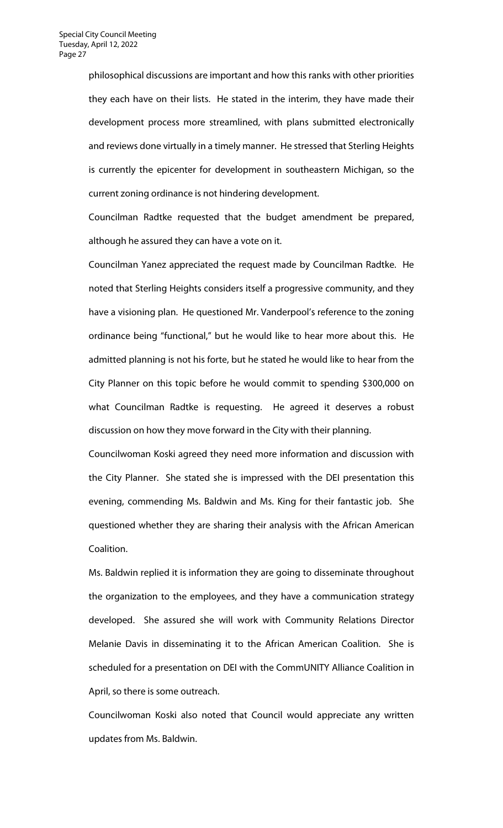philosophical discussions are important and how this ranks with other priorities they each have on their lists. He stated in the interim, they have made their development process more streamlined, with plans submitted electronically and reviews done virtually in a timely manner. He stressed that Sterling Heights is currently the epicenter for development in southeastern Michigan, so the current zoning ordinance is not hindering development.

Councilman Radtke requested that the budget amendment be prepared, although he assured they can have a vote on it.

Councilman Yanez appreciated the request made by Councilman Radtke. He noted that Sterling Heights considers itself a progressive community, and they have a visioning plan. He questioned Mr. Vanderpool's reference to the zoning ordinance being "functional," but he would like to hear more about this. He admitted planning is not his forte, but he stated he would like to hear from the City Planner on this topic before he would commit to spending \$300,000 on what Councilman Radtke is requesting. He agreed it deserves a robust discussion on how they move forward in the City with their planning.

Councilwoman Koski agreed they need more information and discussion with the City Planner. She stated she is impressed with the DEI presentation this evening, commending Ms. Baldwin and Ms. King for their fantastic job. She questioned whether they are sharing their analysis with the African American Coalition.

Ms. Baldwin replied it is information they are going to disseminate throughout the organization to the employees, and they have a communication strategy developed. She assured she will work with Community Relations Director Melanie Davis in disseminating it to the African American Coalition. She is scheduled for a presentation on DEI with the CommUNITY Alliance Coalition in April, so there is some outreach.

Councilwoman Koski also noted that Council would appreciate any written updates from Ms. Baldwin.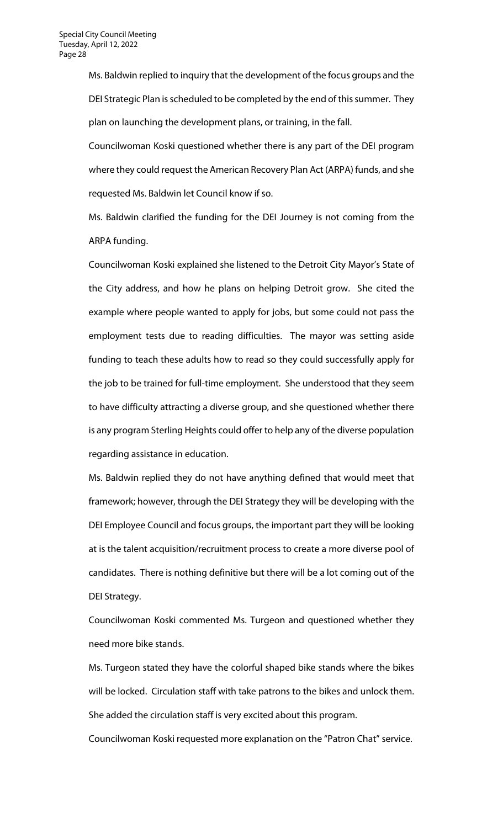Ms. Baldwin replied to inquiry that the development of the focus groups and the DEI Strategic Plan is scheduled to be completed by the end of this summer. They plan on launching the development plans, or training, in the fall.

Councilwoman Koski questioned whether there is any part of the DEI program where they could request the American Recovery Plan Act (ARPA) funds, and she requested Ms. Baldwin let Council know if so.

Ms. Baldwin clarified the funding for the DEI Journey is not coming from the ARPA funding.

Councilwoman Koski explained she listened to the Detroit City Mayor's State of the City address, and how he plans on helping Detroit grow. She cited the example where people wanted to apply for jobs, but some could not pass the employment tests due to reading difficulties. The mayor was setting aside funding to teach these adults how to read so they could successfully apply for the job to be trained for full-time employment. She understood that they seem to have difficulty attracting a diverse group, and she questioned whether there is any program Sterling Heights could offer to help any of the diverse population regarding assistance in education.

Ms. Baldwin replied they do not have anything defined that would meet that framework; however, through the DEI Strategy they will be developing with the DEI Employee Council and focus groups, the important part they will be looking at is the talent acquisition/recruitment process to create a more diverse pool of candidates. There is nothing definitive but there will be a lot coming out of the DEI Strategy.

Councilwoman Koski commented Ms. Turgeon and questioned whether they need more bike stands.

Ms. Turgeon stated they have the colorful shaped bike stands where the bikes will be locked. Circulation staff with take patrons to the bikes and unlock them. She added the circulation staff is very excited about this program.

Councilwoman Koski requested more explanation on the "Patron Chat" service.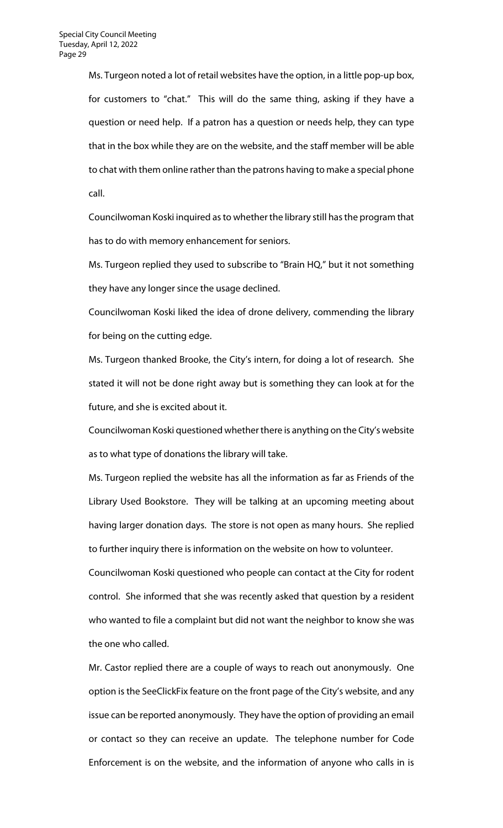Ms. Turgeon noted a lot of retail websites have the option, in a little pop-up box, for customers to "chat." This will do the same thing, asking if they have a question or need help. If a patron has a question or needs help, they can type that in the box while they are on the website, and the staff member will be able to chat with them online rather than the patrons having to make a special phone call.

Councilwoman Koski inquired as to whether the library still has the program that has to do with memory enhancement for seniors.

Ms. Turgeon replied they used to subscribe to "Brain HQ," but it not something they have any longer since the usage declined.

Councilwoman Koski liked the idea of drone delivery, commending the library for being on the cutting edge.

Ms. Turgeon thanked Brooke, the City's intern, for doing a lot of research. She stated it will not be done right away but is something they can look at for the future, and she is excited about it.

Councilwoman Koski questioned whether there is anything on the City's website as to what type of donations the library will take.

Ms. Turgeon replied the website has all the information as far as Friends of the Library Used Bookstore. They will be talking at an upcoming meeting about having larger donation days. The store is not open as many hours. She replied to further inquiry there is information on the website on how to volunteer.

Councilwoman Koski questioned who people can contact at the City for rodent control. She informed that she was recently asked that question by a resident who wanted to file a complaint but did not want the neighbor to know she was the one who called.

Mr. Castor replied there are a couple of ways to reach out anonymously. One option is the SeeClickFix feature on the front page of the City's website, and any issue can be reported anonymously. They have the option of providing an email or contact so they can receive an update. The telephone number for Code Enforcement is on the website, and the information of anyone who calls in is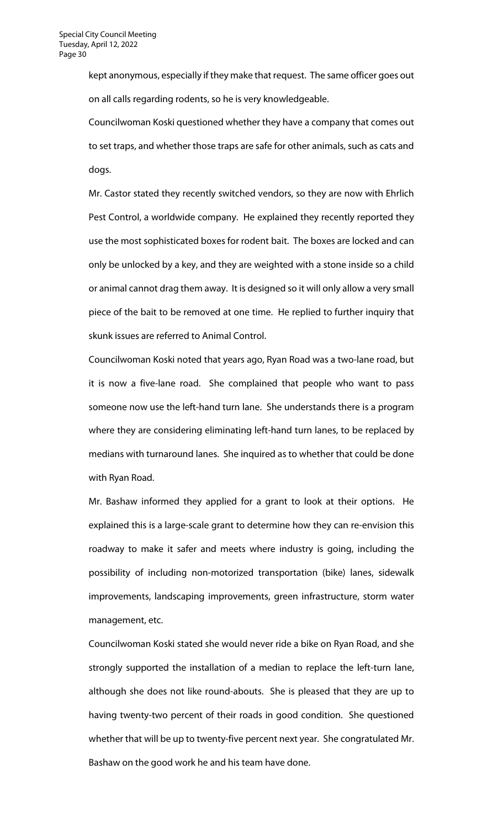kept anonymous, especially if they make that request. The same officer goes out on all calls regarding rodents, so he is very knowledgeable.

Councilwoman Koski questioned whether they have a company that comes out to set traps, and whether those traps are safe for other animals, such as cats and dogs.

Mr. Castor stated they recently switched vendors, so they are now with Ehrlich Pest Control, a worldwide company. He explained they recently reported they use the most sophisticated boxes for rodent bait. The boxes are locked and can only be unlocked by a key, and they are weighted with a stone inside so a child or animal cannot drag them away. It is designed so it will only allow a very small piece of the bait to be removed at one time. He replied to further inquiry that skunk issues are referred to Animal Control.

Councilwoman Koski noted that years ago, Ryan Road was a two-lane road, but it is now a five-lane road. She complained that people who want to pass someone now use the left-hand turn lane. She understands there is a program where they are considering eliminating left-hand turn lanes, to be replaced by medians with turnaround lanes. She inquired as to whether that could be done with Ryan Road.

Mr. Bashaw informed they applied for a grant to look at their options. He explained this is a large-scale grant to determine how they can re-envision this roadway to make it safer and meets where industry is going, including the possibility of including non-motorized transportation (bike) lanes, sidewalk improvements, landscaping improvements, green infrastructure, storm water management, etc.

Councilwoman Koski stated she would never ride a bike on Ryan Road, and she strongly supported the installation of a median to replace the left-turn lane, although she does not like round-abouts. She is pleased that they are up to having twenty-two percent of their roads in good condition. She questioned whether that will be up to twenty-five percent next year. She congratulated Mr. Bashaw on the good work he and his team have done.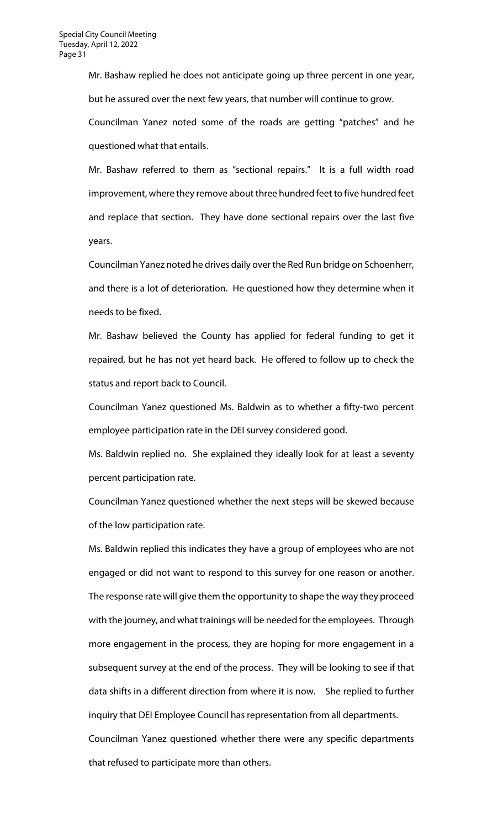Mr. Bashaw replied he does not anticipate going up three percent in one year, but he assured over the next few years, that number will continue to grow.

Councilman Yanez noted some of the roads are getting "patches" and he questioned what that entails.

Mr. Bashaw referred to them as "sectional repairs." It is a full width road improvement, where they remove about three hundred feet to five hundred feet and replace that section. They have done sectional repairs over the last five years.

Councilman Yanez noted he drives daily over the Red Run bridge on Schoenherr, and there is a lot of deterioration. He questioned how they determine when it needs to be fixed.

Mr. Bashaw believed the County has applied for federal funding to get it repaired, but he has not yet heard back. He offered to follow up to check the status and report back to Council.

Councilman Yanez questioned Ms. Baldwin as to whether a fifty-two percent employee participation rate in the DEI survey considered good.

Ms. Baldwin replied no. She explained they ideally look for at least a seventy percent participation rate.

Councilman Yanez questioned whether the next steps will be skewed because of the low participation rate.

Ms. Baldwin replied this indicates they have a group of employees who are not engaged or did not want to respond to this survey for one reason or another. The response rate will give them the opportunity to shape the way they proceed with the journey, and what trainings will be needed for the employees. Through more engagement in the process, they are hoping for more engagement in a subsequent survey at the end of the process. They will be looking to see if that data shifts in a different direction from where it is now. She replied to further inquiry that DEI Employee Council has representation from all departments. Councilman Yanez questioned whether there were any specific departments that refused to participate more than others.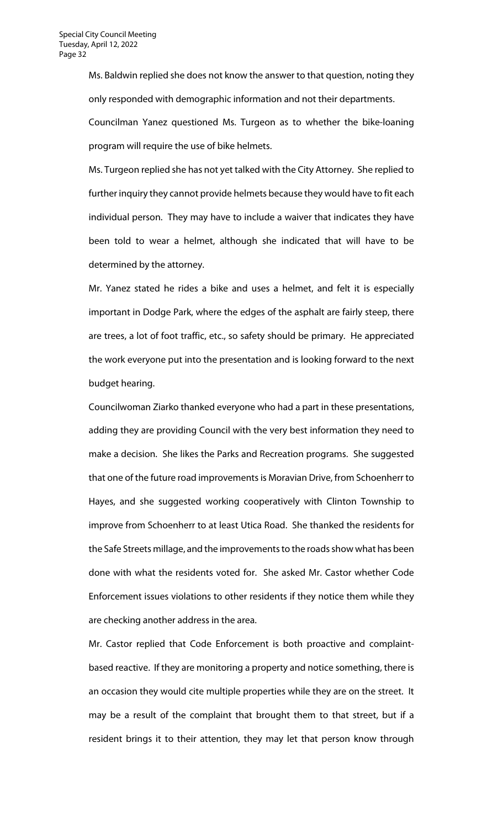Ms. Baldwin replied she does not know the answer to that question, noting they only responded with demographic information and not their departments.

Councilman Yanez questioned Ms. Turgeon as to whether the bike-loaning program will require the use of bike helmets.

Ms. Turgeon replied she has not yet talked with the City Attorney. She replied to further inquiry they cannot provide helmets because they would have to fit each individual person. They may have to include a waiver that indicates they have been told to wear a helmet, although she indicated that will have to be determined by the attorney.

Mr. Yanez stated he rides a bike and uses a helmet, and felt it is especially important in Dodge Park, where the edges of the asphalt are fairly steep, there are trees, a lot of foot traffic, etc., so safety should be primary. He appreciated the work everyone put into the presentation and is looking forward to the next budget hearing.

Councilwoman Ziarko thanked everyone who had a part in these presentations, adding they are providing Council with the very best information they need to make a decision. She likes the Parks and Recreation programs. She suggested that one of the future road improvements is Moravian Drive, from Schoenherr to Hayes, and she suggested working cooperatively with Clinton Township to improve from Schoenherr to at least Utica Road. She thanked the residents for the Safe Streets millage, and the improvements to the roads show what has been done with what the residents voted for. She asked Mr. Castor whether Code Enforcement issues violations to other residents if they notice them while they are checking another address in the area.

Mr. Castor replied that Code Enforcement is both proactive and complaintbased reactive. If they are monitoring a property and notice something, there is an occasion they would cite multiple properties while they are on the street. It may be a result of the complaint that brought them to that street, but if a resident brings it to their attention, they may let that person know through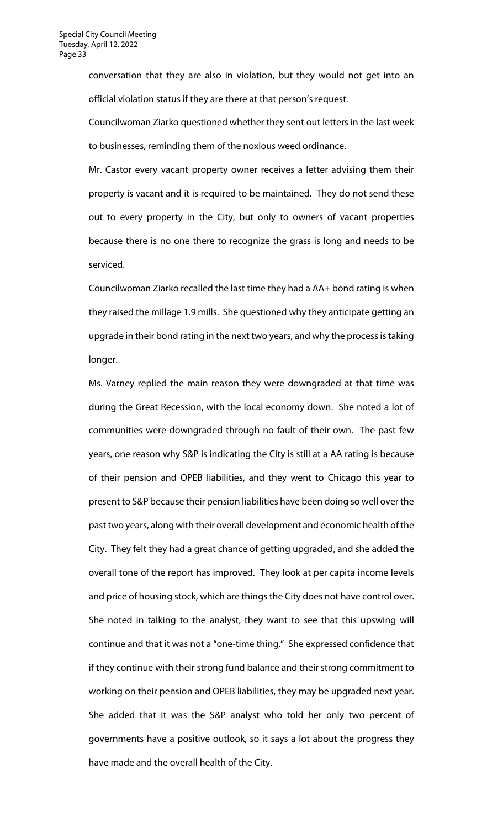conversation that they are also in violation, but they would not get into an official violation status if they are there at that person's request.

Councilwoman Ziarko questioned whether they sent out letters in the last week to businesses, reminding them of the noxious weed ordinance.

Mr. Castor every vacant property owner receives a letter advising them their property is vacant and it is required to be maintained. They do not send these out to every property in the City, but only to owners of vacant properties because there is no one there to recognize the grass is long and needs to be serviced.

Councilwoman Ziarko recalled the last time they had a AA+ bond rating is when they raised the millage 1.9 mills. She questioned why they anticipate getting an upgrade in their bond rating in the next two years, and why the process is taking longer.

Ms. Varney replied the main reason they were downgraded at that time was during the Great Recession, with the local economy down. She noted a lot of communities were downgraded through no fault of their own. The past few years, one reason why S&P is indicating the City is still at a AA rating is because of their pension and OPEB liabilities, and they went to Chicago this year to present to S&P because their pension liabilities have been doing so well over the past two years, along with their overall development and economic health of the City. They felt they had a great chance of getting upgraded, and she added the overall tone of the report has improved. They look at per capita income levels and price of housing stock, which are things the City does not have control over. She noted in talking to the analyst, they want to see that this upswing will continue and that it was not a "one-time thing." She expressed confidence that if they continue with their strong fund balance and their strong commitment to working on their pension and OPEB liabilities, they may be upgraded next year. She added that it was the S&P analyst who told her only two percent of governments have a positive outlook, so it says a lot about the progress they have made and the overall health of the City.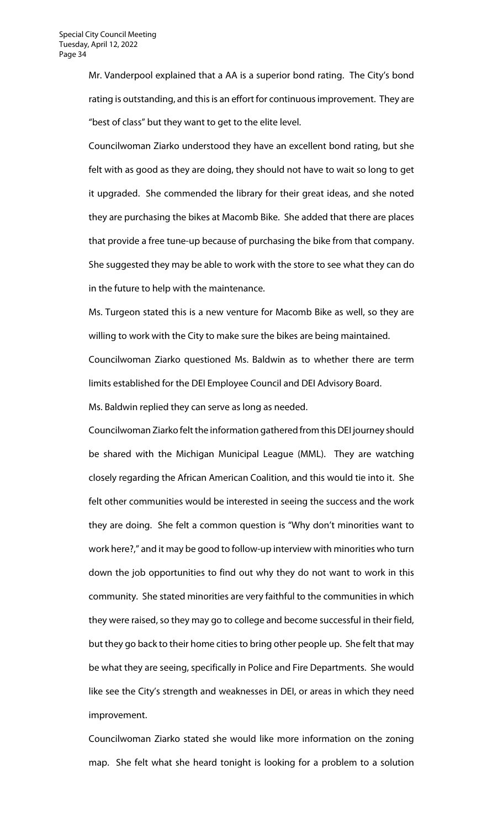Mr. Vanderpool explained that a AA is a superior bond rating. The City's bond rating is outstanding, and this is an effort for continuous improvement. They are "best of class" but they want to get to the elite level.

Councilwoman Ziarko understood they have an excellent bond rating, but she felt with as good as they are doing, they should not have to wait so long to get it upgraded. She commended the library for their great ideas, and she noted they are purchasing the bikes at Macomb Bike. She added that there are places that provide a free tune-up because of purchasing the bike from that company. She suggested they may be able to work with the store to see what they can do in the future to help with the maintenance.

Ms. Turgeon stated this is a new venture for Macomb Bike as well, so they are willing to work with the City to make sure the bikes are being maintained.

Councilwoman Ziarko questioned Ms. Baldwin as to whether there are term limits established for the DEI Employee Council and DEI Advisory Board.

Ms. Baldwin replied they can serve as long as needed.

Councilwoman Ziarko felt the information gathered from this DEI journey should be shared with the Michigan Municipal League (MML). They are watching closely regarding the African American Coalition, and this would tie into it. She felt other communities would be interested in seeing the success and the work they are doing. She felt a common question is "Why don't minorities want to work here?," and it may be good to follow-up interview with minorities who turn down the job opportunities to find out why they do not want to work in this community. She stated minorities are very faithful to the communities in which they were raised, so they may go to college and become successful in their field, but they go back to their home cities to bring other people up. She felt that may be what they are seeing, specifically in Police and Fire Departments. She would like see the City's strength and weaknesses in DEI, or areas in which they need improvement.

Councilwoman Ziarko stated she would like more information on the zoning map. She felt what she heard tonight is looking for a problem to a solution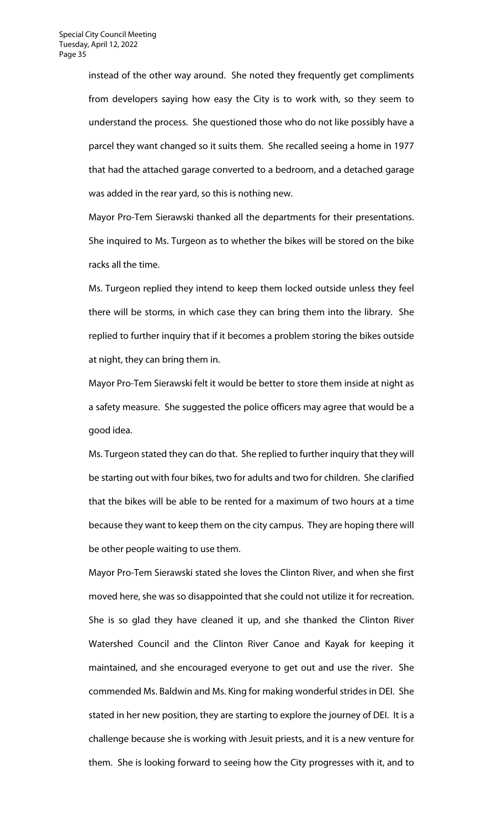instead of the other way around. She noted they frequently get compliments from developers saying how easy the City is to work with, so they seem to understand the process. She questioned those who do not like possibly have a parcel they want changed so it suits them. She recalled seeing a home in 1977 that had the attached garage converted to a bedroom, and a detached garage was added in the rear yard, so this is nothing new.

Mayor Pro-Tem Sierawski thanked all the departments for their presentations. She inquired to Ms. Turgeon as to whether the bikes will be stored on the bike racks all the time.

Ms. Turgeon replied they intend to keep them locked outside unless they feel there will be storms, in which case they can bring them into the library. She replied to further inquiry that if it becomes a problem storing the bikes outside at night, they can bring them in.

Mayor Pro-Tem Sierawski felt it would be better to store them inside at night as a safety measure. She suggested the police officers may agree that would be a good idea.

Ms. Turgeon stated they can do that. She replied to further inquiry that they will be starting out with four bikes, two for adults and two for children. She clarified that the bikes will be able to be rented for a maximum of two hours at a time because they want to keep them on the city campus. They are hoping there will be other people waiting to use them.

Mayor Pro-Tem Sierawski stated she loves the Clinton River, and when she first moved here, she was so disappointed that she could not utilize it for recreation. She is so glad they have cleaned it up, and she thanked the Clinton River Watershed Council and the Clinton River Canoe and Kayak for keeping it maintained, and she encouraged everyone to get out and use the river. She commended Ms. Baldwin and Ms. King for making wonderful strides in DEI. She stated in her new position, they are starting to explore the journey of DEI. It is a challenge because she is working with Jesuit priests, and it is a new venture for them. She is looking forward to seeing how the City progresses with it, and to